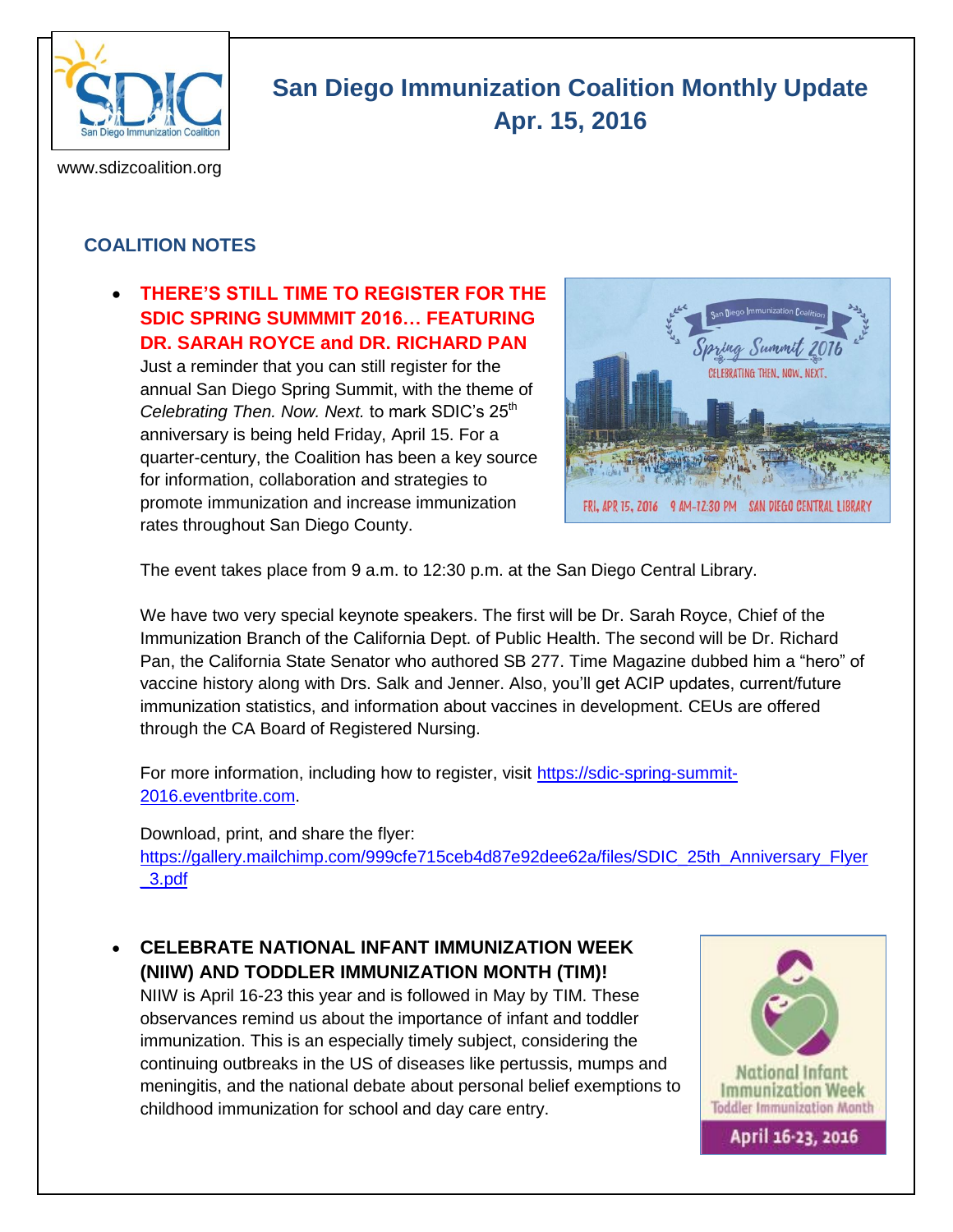

# **San Diego Immunization Coalition Monthly Update Apr. 15, 2016**

www.sdizcoalition.org

### **COALITION NOTES**

#### **THERE'S STILL TIME TO REGISTER FOR THE SDIC SPRING SUMMMIT 2016… FEATURING DR. SARAH ROYCE and DR. RICHARD PAN**

Just a reminder that you can still register for the annual San Diego Spring Summit, with the theme of *Celebrating Then. Now. Next.* to mark SDIC's 25<sup>th</sup> anniversary is being held Friday, April 15. For a quarter-century, the Coalition has been a key source for information, collaboration and strategies to promote immunization and increase immunization rates throughout San Diego County.



The event takes place from 9 a.m. to 12:30 p.m. at the San Diego Central Library.

We have two very special keynote speakers. The first will be Dr. Sarah Royce, Chief of the Immunization Branch of the California Dept. of Public Health. The second will be Dr. Richard Pan, the California State Senator who authored SB 277. Time Magazine dubbed him a "hero" of vaccine history along with Drs. Salk and Jenner. Also, you'll get ACIP updates, current/future immunization statistics, and information about vaccines in development. CEUs are offered through the CA Board of Registered Nursing.

For more information, including how to register, visit [https://sdic-spring-summit-](https://sdic-spring-summit-2016.eventbrite.com/)[2016.eventbrite.com.](https://sdic-spring-summit-2016.eventbrite.com/)

#### Download, print, and share the flyer:

[https://gallery.mailchimp.com/999cfe715ceb4d87e92dee62a/files/SDIC\\_25th\\_Anniversary\\_Flyer](https://gallery.mailchimp.com/999cfe715ceb4d87e92dee62a/files/SDIC_25th_Anniversary_Flyer_3.pdf) [\\_3.pdf](https://gallery.mailchimp.com/999cfe715ceb4d87e92dee62a/files/SDIC_25th_Anniversary_Flyer_3.pdf)

 **CELEBRATE NATIONAL INFANT IMMUNIZATION WEEK (NIIW) AND TODDLER IMMUNIZATION MONTH (TIM)!** NIIW is April 16-23 this year and is followed in May by TIM. These observances remind us about the importance of infant and toddler immunization. This is an especially timely subject, considering the continuing outbreaks in the US of diseases like pertussis, mumps and meningitis, and the national debate about personal belief exemptions to childhood immunization for school and day care entry.

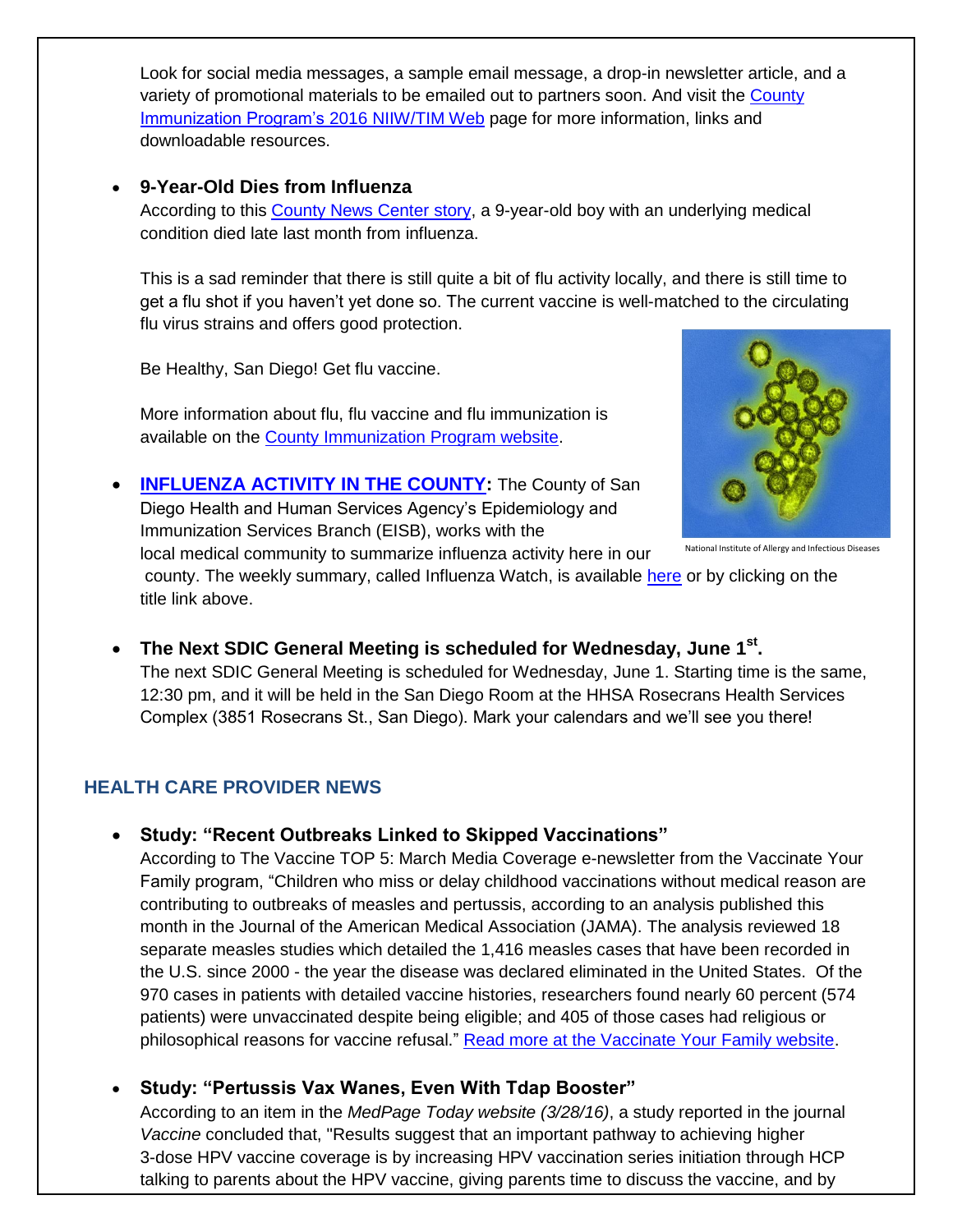Look for social media messages, a sample email message, a drop-in newsletter article, and a variety of promotional materials to be emailed out to partners soon. And visit the [County](http://www.sdiz.org/Home/NIIW-TIM-2016.html)  [Immunization Program's 2016](http://www.sdiz.org/Home/NIIW-TIM-2016.html) NIIW/TIM Web page for more information, links and downloadable resources.

#### **9-Year-Old Dies from Influenza**

According to this [County News Center story,](http://www.countynewscenter.com/news/9-year-old-dies-influenza) a 9-year-old boy with an underlying medical condition died late last month from influenza.

This is a sad reminder that there is still quite a bit of flu activity locally, and there is still time to get a flu shot if you haven't yet done so. The current vaccine is well-matched to the circulating flu virus strains and offers good protection.

Be Healthy, San Diego! Get flu vaccine.

More information about flu, flu vaccine and flu immunization is available on the [County Immunization Program website.](http://www.sdiz.org/Community/Features/Flu-2015-2016.html)



National Institute of Allergy and Infectious Diseases

**[INFLUENZA ACTIVITY IN THE COUNTY:](http://www.sandiegocounty.gov/content/dam/sdc/hhsa/programs/phs/documents/InfluenzaWatch.pdf)** The County of San Diego Health and Human Services Agency's Epidemiology and Immunization Services Branch (EISB), works with the local medical community to summarize influenza activity here in our

county. The weekly summary, called Influenza Watch, is available [here](http://www.sandiegocounty.gov/content/dam/sdc/hhsa/programs/phs/documents/InfluenzaWatch.pdf) or by clicking on the title link above.

 **The Next SDIC General Meeting is scheduled for Wednesday, June 1st .**  The next SDIC General Meeting is scheduled for Wednesday, June 1. Starting time is the same, 12:30 pm, and it will be held in the San Diego Room at the HHSA Rosecrans Health Services Complex (3851 Rosecrans St., San Diego). Mark your calendars and we'll see you there!

## **HEALTH CARE PROVIDER NEWS**

#### **Study: "Recent Outbreaks Linked to Skipped Vaccinations"**

According to The Vaccine TOP 5: March Media Coverage e-newsletter from the Vaccinate Your Family program, "Children who miss or delay childhood vaccinations without medical reason are contributing to outbreaks of measles and pertussis, according to an analysis published this month in the Journal of the American Medical Association (JAMA). The analysis reviewed 18 separate measles studies which detailed the 1,416 measles cases that have been recorded in the U.S. since 2000 - the year the disease was declared eliminated in the United States. Of the 970 cases in patients with detailed vaccine histories, researchers found nearly 60 percent (574 patients) were unvaccinated despite being eligible; and 405 of those cases had religious or philosophical reasons for vaccine refusal." [Read more at the Vaccinate Your Family website.](http://vaccinateyourfamily.org/news/story/new-jama-study-links-recent-outbreaks-to-skipped-vaccinations)

**Study: "Pertussis Vax Wanes, Even With Tdap Booster"**

According to an item in the *MedPage Today website (3/28/16)*, a study reported in the journal *Vaccine* concluded that, "Results suggest that an important pathway to achieving higher 3-dose HPV vaccine coverage is by increasing HPV vaccination series initiation through HCP talking to parents about the HPV vaccine, giving parents time to discuss the vaccine, and by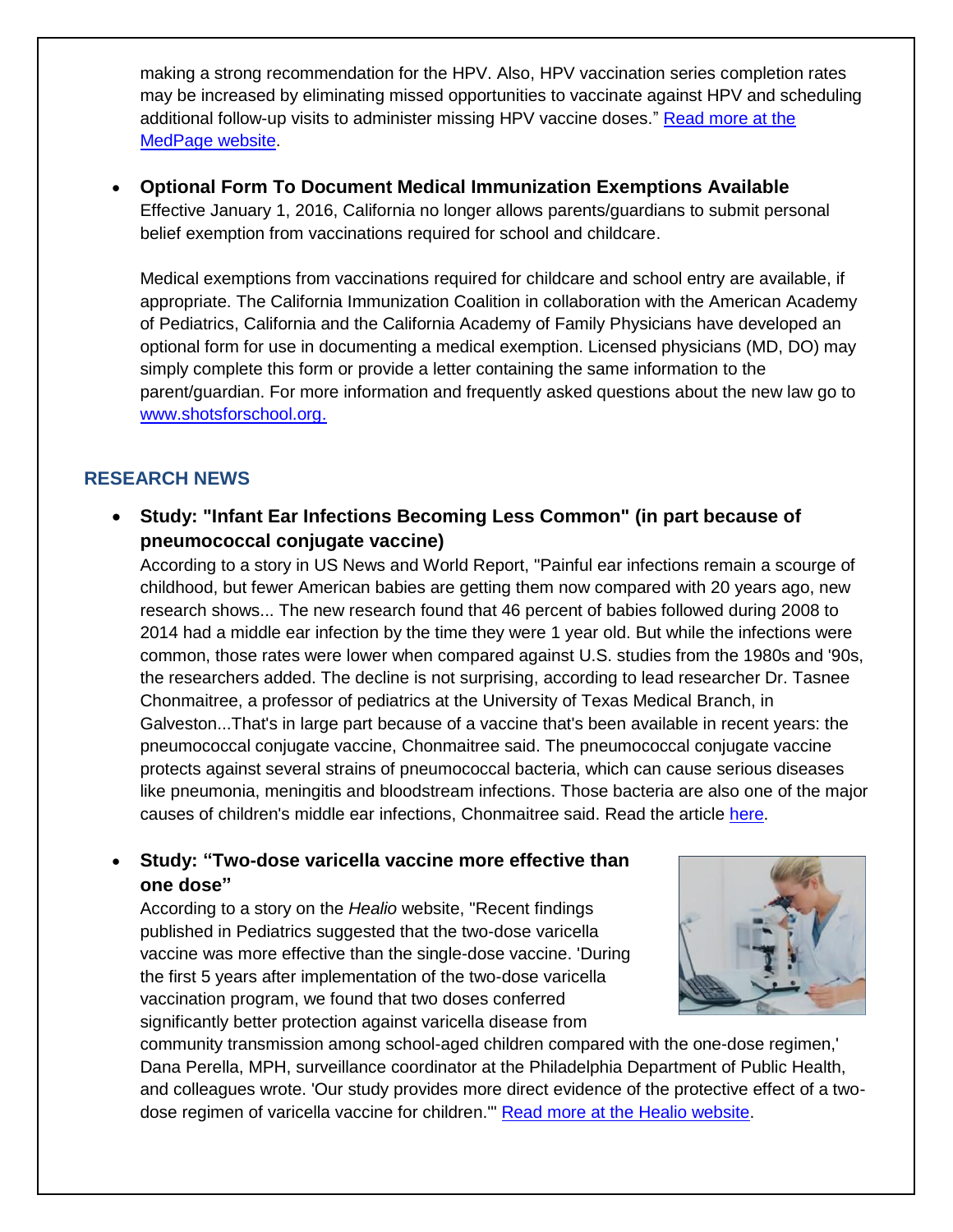making a strong recommendation for the HPV. Also, HPV vaccination series completion rates may be increased by eliminating missed opportunities to vaccinate against HPV and scheduling additional follow-up visits to administer missing HPV vaccine doses." [Read more at the](http://www.medpagetoday.com/Pediatrics/Vaccines/56988)  [MedPage website.](http://www.medpagetoday.com/Pediatrics/Vaccines/56988)

 **Optional Form To Document Medical Immunization Exemptions Available** Effective January 1, 2016, California no longer allows parents/guardians to submit personal belief exemption from vaccinations required for school and childcare.

Medical exemptions from vaccinations required for childcare and school entry are available, if appropriate. The California Immunization Coalition in collaboration with the American Academy of Pediatrics, California and the California Academy of Family Physicians have developed an optional form for use in documenting a medical exemption. Licensed physicians (MD, DO) may simply complete this form or provide a letter containing the same information to the parent/guardian. For more information and frequently asked questions about the new law go to [www.shotsforschool.org.](http://www.shotsforschool.org/)

#### **RESEARCH NEWS**

 **Study: "Infant Ear Infections Becoming Less Common" (in part because of pneumococcal conjugate vaccine)**

According to a story in US News and World Report, "Painful ear infections remain a scourge of childhood, but fewer American babies are getting them now compared with 20 years ago, new research shows... The new research found that 46 percent of babies followed during 2008 to 2014 had a middle ear infection by the time they were 1 year old. But while the infections were common, those rates were lower when compared against U.S. studies from the 1980s and '90s, the researchers added. The decline is not surprising, according to lead researcher Dr. Tasnee Chonmaitree, a professor of pediatrics at the University of Texas Medical Branch, in Galveston...That's in large part because of a vaccine that's been available in recent years: the pneumococcal conjugate vaccine, Chonmaitree said. The pneumococcal conjugate vaccine protects against several strains of pneumococcal bacteria, which can cause serious diseases like pneumonia, meningitis and bloodstream infections. Those bacteria are also one of the major causes of children's middle ear infections, Chonmaitree said. Read the article [here.](http://health.usnews.com/health-news/articles/2016-03-28/infant-ear-infections-)

#### **Study: "Two-dose varicella vaccine more effective than one dose"**

According to a story on the *Healio* website, "Recent findings published in Pediatrics suggested that the two-dose varicella vaccine was more effective than the single-dose vaccine. 'During the first 5 years after implementation of the two-dose varicella vaccination program, we found that two doses conferred significantly better protection against varicella disease from



community transmission among school-aged children compared with the one-dose regimen,' Dana Perella, MPH, surveillance coordinator at the Philadelphia Department of Public Health, and colleagues wrote. 'Our study provides more direct evidence of the protective effect of a twodose regimen of varicella vaccine for children.'" [Read more at the Healio website.](http://www.healio.com/pediatrics/vaccine-preventable-diseases/news/online/%7B1311f7b0-0c6c-4cc2-a69f-e5fec15f0ce5%7D/two-dose-)